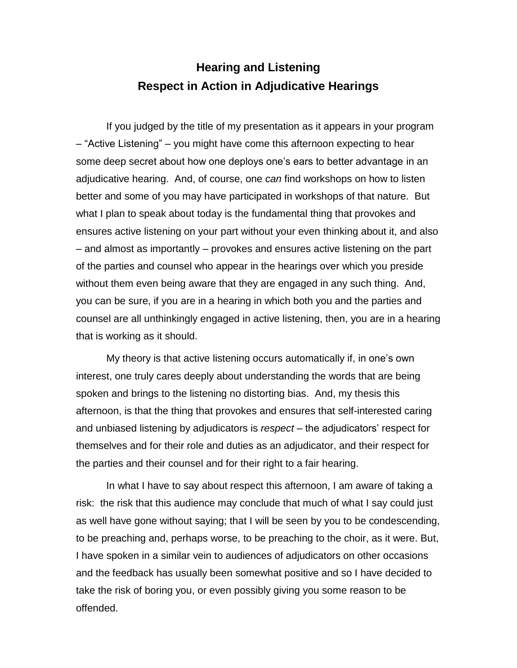# **Hearing and Listening Respect in Action in Adjudicative Hearings**

If you judged by the title of my presentation as it appears in your program – "Active Listening" – you might have come this afternoon expecting to hear some deep secret about how one deploys one's ears to better advantage in an adjudicative hearing. And, of course, one *can* find workshops on how to listen better and some of you may have participated in workshops of that nature. But what I plan to speak about today is the fundamental thing that provokes and ensures active listening on your part without your even thinking about it, and also – and almost as importantly – provokes and ensures active listening on the part of the parties and counsel who appear in the hearings over which you preside without them even being aware that they are engaged in any such thing. And, you can be sure, if you are in a hearing in which both you and the parties and counsel are all unthinkingly engaged in active listening, then, you are in a hearing that is working as it should.

My theory is that active listening occurs automatically if, in one's own interest, one truly cares deeply about understanding the words that are being spoken and brings to the listening no distorting bias. And, my thesis this afternoon, is that the thing that provokes and ensures that self-interested caring and unbiased listening by adjudicators is *respect* – the adjudicators' respect for themselves and for their role and duties as an adjudicator, and their respect for the parties and their counsel and for their right to a fair hearing.

In what I have to say about respect this afternoon, I am aware of taking a risk: the risk that this audience may conclude that much of what I say could just as well have gone without saying; that I will be seen by you to be condescending, to be preaching and, perhaps worse, to be preaching to the choir, as it were. But, I have spoken in a similar vein to audiences of adjudicators on other occasions and the feedback has usually been somewhat positive and so I have decided to take the risk of boring you, or even possibly giving you some reason to be offended.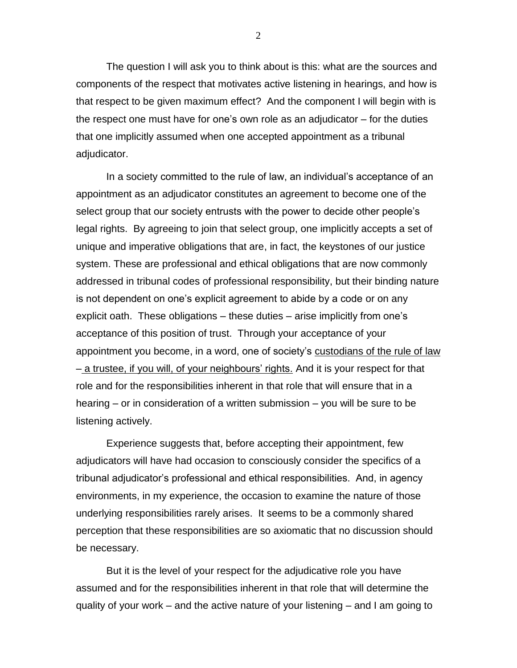The question I will ask you to think about is this: what are the sources and components of the respect that motivates active listening in hearings, and how is that respect to be given maximum effect? And the component I will begin with is the respect one must have for one's own role as an adjudicator – for the duties that one implicitly assumed when one accepted appointment as a tribunal adjudicator.

In a society committed to the rule of law, an individual's acceptance of an appointment as an adjudicator constitutes an agreement to become one of the select group that our society entrusts with the power to decide other people's legal rights. By agreeing to join that select group, one implicitly accepts a set of unique and imperative obligations that are, in fact, the keystones of our justice system. These are professional and ethical obligations that are now commonly addressed in tribunal codes of professional responsibility, but their binding nature is not dependent on one's explicit agreement to abide by a code or on any explicit oath. These obligations – these duties – arise implicitly from one's acceptance of this position of trust. Through your acceptance of your appointment you become, in a word, one of society's **custodians of the rule of law** – a trustee, if you will, of your neighbours' rights. And it is your respect for that role and for the responsibilities inherent in that role that will ensure that in a hearing – or in consideration of a written submission – you will be sure to be listening actively.

Experience suggests that, before accepting their appointment, few adjudicators will have had occasion to consciously consider the specifics of a tribunal adjudicator's professional and ethical responsibilities. And, in agency environments, in my experience, the occasion to examine the nature of those underlying responsibilities rarely arises. It seems to be a commonly shared perception that these responsibilities are so axiomatic that no discussion should be necessary.

But it is the level of your respect for the adjudicative role you have assumed and for the responsibilities inherent in that role that will determine the quality of your work – and the active nature of your listening – and I am going to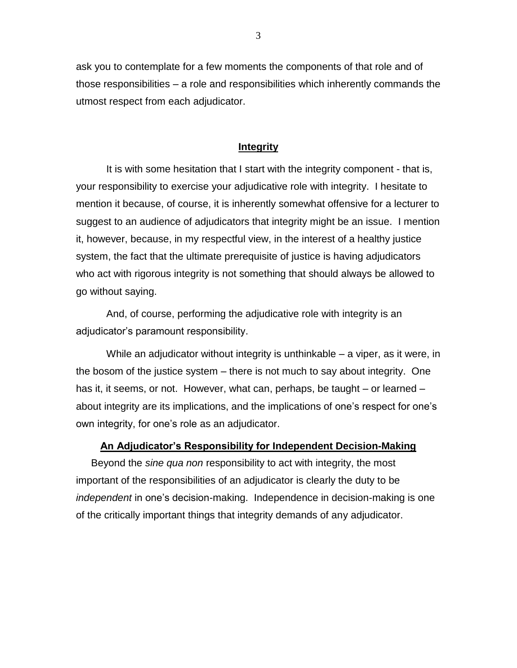ask you to contemplate for a few moments the components of that role and of those responsibilities – a role and responsibilities which inherently commands the utmost respect from each adjudicator.

# **Integrity**

It is with some hesitation that I start with the integrity component - that is, your responsibility to exercise your adjudicative role with integrity. I hesitate to mention it because, of course, it is inherently somewhat offensive for a lecturer to suggest to an audience of adjudicators that integrity might be an issue. I mention it, however, because, in my respectful view, in the interest of a healthy justice system, the fact that the ultimate prerequisite of justice is having adjudicators who act with rigorous integrity is not something that should always be allowed to go without saying.

And, of course, performing the adjudicative role with integrity is an adjudicator's paramount responsibility.

While an adjudicator without integrity is unthinkable – a viper, as it were, in the bosom of the justice system – there is not much to say about integrity. One has it, it seems, or not. However, what can, perhaps, be taught – or learned – about integrity are its implications, and the implications of one's respect for one's own integrity, for one's role as an adjudicator.

# **An Adjudicator's Responsibility for Independent Decision-Making**

Beyond the *sine qua non* responsibility to act with integrity, the most important of the responsibilities of an adjudicator is clearly the duty to be *independent* in one's decision-making. Independence in decision-making is one of the critically important things that integrity demands of any adjudicator.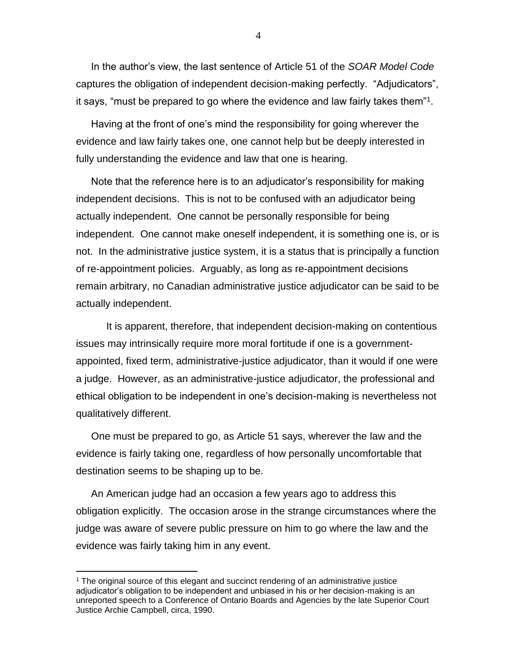In the author's view, the last sentence of Article 51 of the *SOAR Model Code* captures the obligation of independent decision-making perfectly. "Adjudicators", it says, "must be prepared to go where the evidence and law fairly takes them"<sup>1</sup> .

Having at the front of one's mind the responsibility for going wherever the evidence and law fairly takes one, one cannot help but be deeply interested in fully understanding the evidence and law that one is hearing.

Note that the reference here is to an adjudicator's responsibility for making independent decisions. This is not to be confused with an adjudicator being actually independent. One cannot be personally responsible for being independent. One cannot make oneself independent, it is something one is, or is not. In the administrative justice system, it is a status that is principally a function of re-appointment policies. Arguably, as long as re-appointment decisions remain arbitrary, no Canadian administrative justice adjudicator can be said to be actually independent.

It is apparent, therefore, that independent decision-making on contentious issues may intrinsically require more moral fortitude if one is a governmentappointed, fixed term, administrative-justice adjudicator, than it would if one were a judge. However, as an administrative-justice adjudicator, the professional and ethical obligation to be independent in one's decision-making is nevertheless not qualitatively different.

One must be prepared to go, as Article 51 says, wherever the law and the evidence is fairly taking one, regardless of how personally uncomfortable that destination seems to be shaping up to be*.* 

An American judge had an occasion a few years ago to address this obligation explicitly. The occasion arose in the strange circumstances where the judge was aware of severe public pressure on him to go where the law and the evidence was fairly taking him in any event.

 $\overline{a}$ 

<sup>1</sup> The original source of this elegant and succinct rendering of an administrative justice adjudicator's obligation to be independent and unbiased in his or her decision-making is an unreported speech to a Conference of Ontario Boards and Agencies by the late Superior Court Justice Archie Campbell, circa, 1990.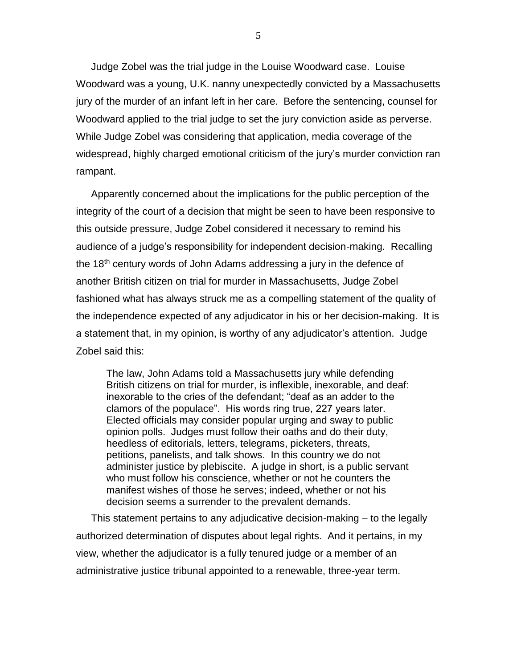Judge Zobel was the trial judge in the Louise Woodward case. Louise Woodward was a young, U.K. nanny unexpectedly convicted by a Massachusetts jury of the murder of an infant left in her care. Before the sentencing, counsel for Woodward applied to the trial judge to set the jury conviction aside as perverse. While Judge Zobel was considering that application, media coverage of the widespread, highly charged emotional criticism of the jury's murder conviction ran rampant.

Apparently concerned about the implications for the public perception of the integrity of the court of a decision that might be seen to have been responsive to this outside pressure, Judge Zobel considered it necessary to remind his audience of a judge's responsibility for independent decision-making. Recalling the 18<sup>th</sup> century words of John Adams addressing a jury in the defence of another British citizen on trial for murder in Massachusetts, Judge Zobel fashioned what has always struck me as a compelling statement of the quality of the independence expected of any adjudicator in his or her decision-making. It is a statement that, in my opinion, is worthy of any adjudicator's attention. Judge Zobel said this:

The law, John Adams told a Massachusetts jury while defending British citizens on trial for murder, is inflexible, inexorable, and deaf: inexorable to the cries of the defendant; "deaf as an adder to the clamors of the populace". His words ring true, 227 years later. Elected officials may consider popular urging and sway to public opinion polls. Judges must follow their oaths and do their duty, heedless of editorials, letters, telegrams, picketers, threats, petitions, panelists, and talk shows. In this country we do not administer justice by plebiscite. A judge in short, is a public servant who must follow his conscience, whether or not he counters the manifest wishes of those he serves; indeed, whether or not his decision seems a surrender to the prevalent demands.

This statement pertains to any adjudicative decision-making – to the legally authorized determination of disputes about legal rights. And it pertains, in my view, whether the adjudicator is a fully tenured judge or a member of an administrative justice tribunal appointed to a renewable, three-year term.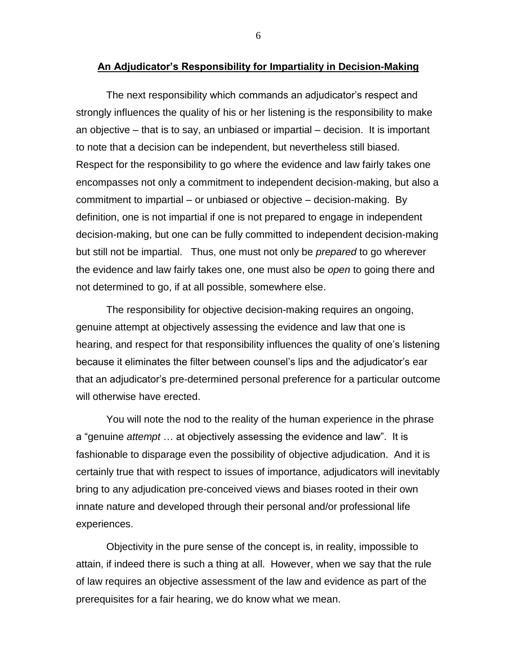### **An Adjudicator's Responsibility for Impartiality in Decision-Making**

The next responsibility which commands an adjudicator's respect and strongly influences the quality of his or her listening is the responsibility to make an objective – that is to say, an unbiased or impartial – decision. It is important to note that a decision can be independent, but nevertheless still biased. Respect for the responsibility to go where the evidence and law fairly takes one encompasses not only a commitment to independent decision-making, but also a commitment to impartial – or unbiased or objective – decision-making. By definition, one is not impartial if one is not prepared to engage in independent decision-making, but one can be fully committed to independent decision-making but still not be impartial. Thus, one must not only be *prepared* to go wherever the evidence and law fairly takes one, one must also be *open* to going there and not determined to go, if at all possible, somewhere else.

The responsibility for objective decision-making requires an ongoing, genuine attempt at objectively assessing the evidence and law that one is hearing, and respect for that responsibility influences the quality of one's listening because it eliminates the filter between counsel's lips and the adjudicator's ear that an adjudicator's pre-determined personal preference for a particular outcome will otherwise have erected.

You will note the nod to the reality of the human experience in the phrase a "genuine *attempt* … at objectively assessing the evidence and law". It is fashionable to disparage even the possibility of objective adjudication. And it is certainly true that with respect to issues of importance, adjudicators will inevitably bring to any adjudication pre-conceived views and biases rooted in their own innate nature and developed through their personal and/or professional life experiences.

Objectivity in the pure sense of the concept is, in reality, impossible to attain, if indeed there is such a thing at all. However, when we say that the rule of law requires an objective assessment of the law and evidence as part of the prerequisites for a fair hearing, we do know what we mean.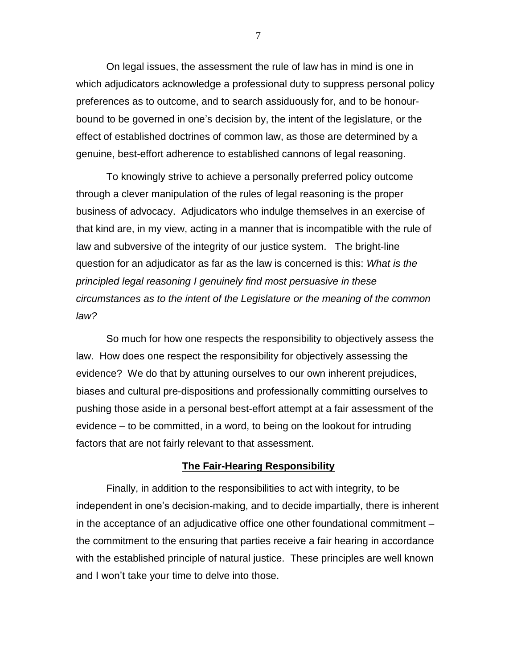On legal issues, the assessment the rule of law has in mind is one in which adjudicators acknowledge a professional duty to suppress personal policy preferences as to outcome, and to search assiduously for, and to be honourbound to be governed in one's decision by, the intent of the legislature, or the effect of established doctrines of common law, as those are determined by a genuine, best-effort adherence to established cannons of legal reasoning.

To knowingly strive to achieve a personally preferred policy outcome through a clever manipulation of the rules of legal reasoning is the proper business of advocacy. Adjudicators who indulge themselves in an exercise of that kind are, in my view, acting in a manner that is incompatible with the rule of law and subversive of the integrity of our justice system. The bright-line question for an adjudicator as far as the law is concerned is this: *What is the principled legal reasoning I genuinely find most persuasive in these circumstances as to the intent of the Legislature or the meaning of the common law?* 

So much for how one respects the responsibility to objectively assess the law. How does one respect the responsibility for objectively assessing the evidence? We do that by attuning ourselves to our own inherent prejudices, biases and cultural pre-dispositions and professionally committing ourselves to pushing those aside in a personal best-effort attempt at a fair assessment of the evidence – to be committed, in a word, to being on the lookout for intruding factors that are not fairly relevant to that assessment.

## **The Fair-Hearing Responsibility**

Finally, in addition to the responsibilities to act with integrity, to be independent in one's decision-making, and to decide impartially, there is inherent in the acceptance of an adjudicative office one other foundational commitment – the commitment to the ensuring that parties receive a fair hearing in accordance with the established principle of natural justice. These principles are well known and I won't take your time to delve into those.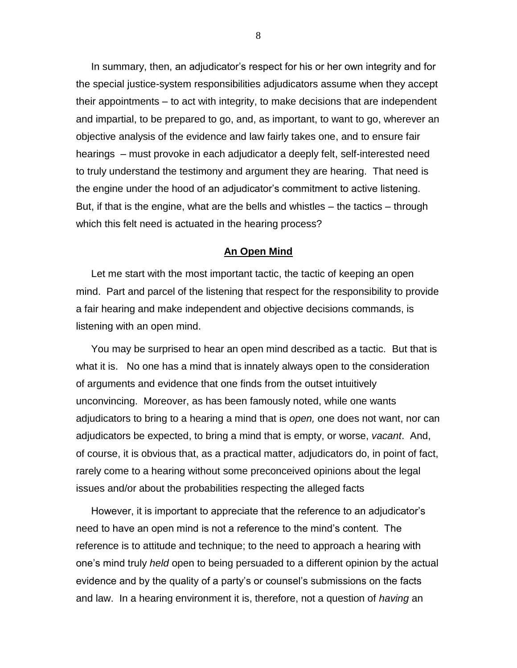In summary, then, an adjudicator's respect for his or her own integrity and for the special justice-system responsibilities adjudicators assume when they accept their appointments – to act with integrity, to make decisions that are independent and impartial, to be prepared to go, and, as important, to want to go, wherever an objective analysis of the evidence and law fairly takes one, and to ensure fair hearings – must provoke in each adjudicator a deeply felt, self-interested need to truly understand the testimony and argument they are hearing. That need is the engine under the hood of an adjudicator's commitment to active listening. But, if that is the engine, what are the bells and whistles – the tactics – through which this felt need is actuated in the hearing process?

#### **An Open Mind**

Let me start with the most important tactic, the tactic of keeping an open mind. Part and parcel of the listening that respect for the responsibility to provide a fair hearing and make independent and objective decisions commands, is listening with an open mind.

You may be surprised to hear an open mind described as a tactic. But that is what it is. No one has a mind that is innately always open to the consideration of arguments and evidence that one finds from the outset intuitively unconvincing. Moreover, as has been famously noted, while one wants adjudicators to bring to a hearing a mind that is *open,* one does not want, nor can adjudicators be expected, to bring a mind that is empty, or worse, *vacant*. And, of course, it is obvious that, as a practical matter, adjudicators do, in point of fact, rarely come to a hearing without some preconceived opinions about the legal issues and/or about the probabilities respecting the alleged facts

However, it is important to appreciate that the reference to an adjudicator's need to have an open mind is not a reference to the mind's content. The reference is to attitude and technique; to the need to approach a hearing with one's mind truly *held* open to being persuaded to a different opinion by the actual evidence and by the quality of a party's or counsel's submissions on the facts and law. In a hearing environment it is, therefore, not a question of *having* an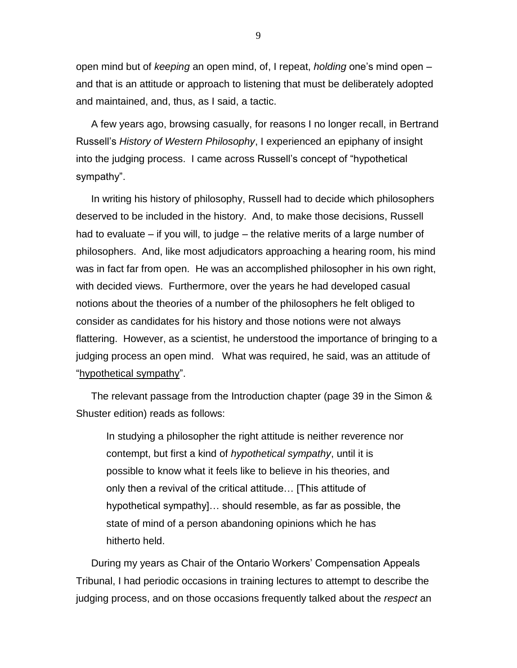open mind but of *keeping* an open mind, of, I repeat, *holding* one's mind open – and that is an attitude or approach to listening that must be deliberately adopted and maintained, and, thus, as I said, a tactic.

A few years ago, browsing casually, for reasons I no longer recall, in Bertrand Russell's *History of Western Philosophy*, I experienced an epiphany of insight into the judging process. I came across Russell's concept of "hypothetical sympathy".

In writing his history of philosophy, Russell had to decide which philosophers deserved to be included in the history. And, to make those decisions, Russell had to evaluate – if you will, to judge – the relative merits of a large number of philosophers. And, like most adjudicators approaching a hearing room, his mind was in fact far from open. He was an accomplished philosopher in his own right, with decided views. Furthermore, over the years he had developed casual notions about the theories of a number of the philosophers he felt obliged to consider as candidates for his history and those notions were not always flattering. However, as a scientist, he understood the importance of bringing to a judging process an open mind. What was required, he said, was an attitude of "hypothetical sympathy".

The relevant passage from the Introduction chapter (page 39 in the Simon & Shuster edition) reads as follows:

In studying a philosopher the right attitude is neither reverence nor contempt, but first a kind of *hypothetical sympathy*, until it is possible to know what it feels like to believe in his theories, and only then a revival of the critical attitude… [This attitude of hypothetical sympathy]… should resemble, as far as possible, the state of mind of a person abandoning opinions which he has hitherto held.

During my years as Chair of the Ontario Workers' Compensation Appeals Tribunal, I had periodic occasions in training lectures to attempt to describe the judging process, and on those occasions frequently talked about the *respect* an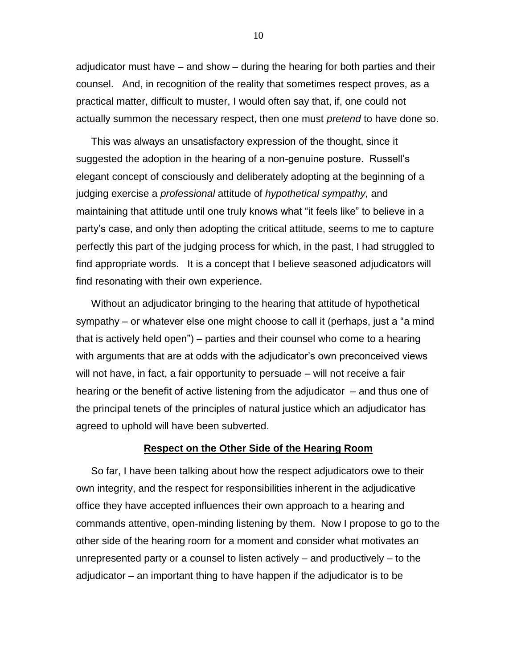adjudicator must have – and show – during the hearing for both parties and their counsel. And, in recognition of the reality that sometimes respect proves, as a practical matter, difficult to muster, I would often say that, if, one could not actually summon the necessary respect, then one must *pretend* to have done so.

This was always an unsatisfactory expression of the thought, since it suggested the adoption in the hearing of a non-genuine posture. Russell's elegant concept of consciously and deliberately adopting at the beginning of a judging exercise a *professional* attitude of *hypothetical sympathy,* and maintaining that attitude until one truly knows what "it feels like" to believe in a party's case, and only then adopting the critical attitude, seems to me to capture perfectly this part of the judging process for which, in the past, I had struggled to find appropriate words. It is a concept that I believe seasoned adjudicators will find resonating with their own experience.

Without an adjudicator bringing to the hearing that attitude of hypothetical sympathy – or whatever else one might choose to call it (perhaps, just a "a mind that is actively held open") – parties and their counsel who come to a hearing with arguments that are at odds with the adjudicator's own preconceived views will not have, in fact, a fair opportunity to persuade – will not receive a fair hearing or the benefit of active listening from the adjudicator – and thus one of the principal tenets of the principles of natural justice which an adjudicator has agreed to uphold will have been subverted.

#### **Respect on the Other Side of the Hearing Room**

So far, I have been talking about how the respect adjudicators owe to their own integrity, and the respect for responsibilities inherent in the adjudicative office they have accepted influences their own approach to a hearing and commands attentive, open-minding listening by them. Now I propose to go to the other side of the hearing room for a moment and consider what motivates an unrepresented party or a counsel to listen actively – and productively – to the adjudicator – an important thing to have happen if the adjudicator is to be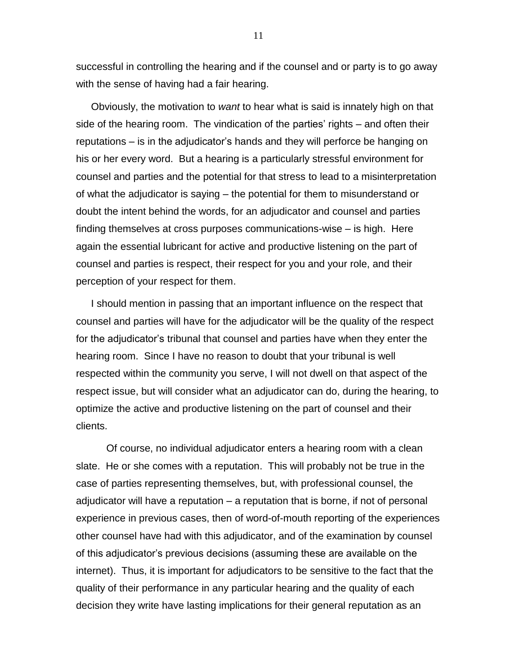successful in controlling the hearing and if the counsel and or party is to go away with the sense of having had a fair hearing.

Obviously, the motivation to *want* to hear what is said is innately high on that side of the hearing room. The vindication of the parties' rights – and often their reputations – is in the adjudicator's hands and they will perforce be hanging on his or her every word. But a hearing is a particularly stressful environment for counsel and parties and the potential for that stress to lead to a misinterpretation of what the adjudicator is saying – the potential for them to misunderstand or doubt the intent behind the words, for an adjudicator and counsel and parties finding themselves at cross purposes communications-wise – is high. Here again the essential lubricant for active and productive listening on the part of counsel and parties is respect, their respect for you and your role, and their perception of your respect for them.

I should mention in passing that an important influence on the respect that counsel and parties will have for the adjudicator will be the quality of the respect for the adjudicator's tribunal that counsel and parties have when they enter the hearing room. Since I have no reason to doubt that your tribunal is well respected within the community you serve, I will not dwell on that aspect of the respect issue, but will consider what an adjudicator can do, during the hearing, to optimize the active and productive listening on the part of counsel and their clients.

Of course, no individual adjudicator enters a hearing room with a clean slate. He or she comes with a reputation. This will probably not be true in the case of parties representing themselves, but, with professional counsel, the adjudicator will have a reputation – a reputation that is borne, if not of personal experience in previous cases, then of word-of-mouth reporting of the experiences other counsel have had with this adjudicator, and of the examination by counsel of this adjudicator's previous decisions (assuming these are available on the internet). Thus, it is important for adjudicators to be sensitive to the fact that the quality of their performance in any particular hearing and the quality of each decision they write have lasting implications for their general reputation as an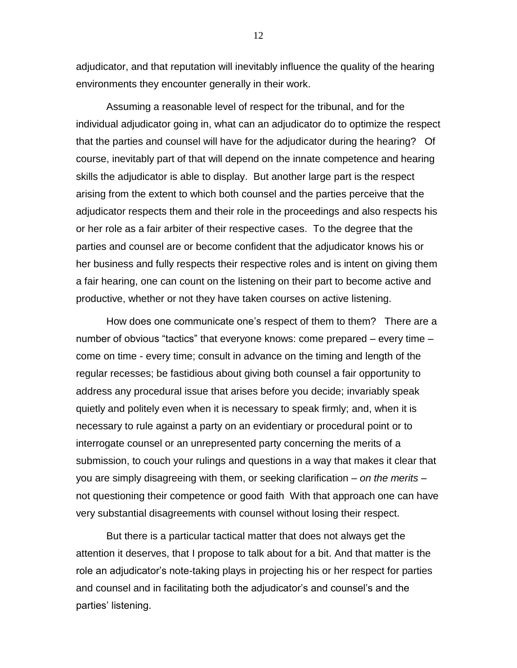adjudicator, and that reputation will inevitably influence the quality of the hearing environments they encounter generally in their work.

Assuming a reasonable level of respect for the tribunal, and for the individual adjudicator going in, what can an adjudicator do to optimize the respect that the parties and counsel will have for the adjudicator during the hearing? Of course, inevitably part of that will depend on the innate competence and hearing skills the adjudicator is able to display. But another large part is the respect arising from the extent to which both counsel and the parties perceive that the adjudicator respects them and their role in the proceedings and also respects his or her role as a fair arbiter of their respective cases. To the degree that the parties and counsel are or become confident that the adjudicator knows his or her business and fully respects their respective roles and is intent on giving them a fair hearing, one can count on the listening on their part to become active and productive, whether or not they have taken courses on active listening.

How does one communicate one's respect of them to them? There are a number of obvious "tactics" that everyone knows: come prepared – every time – come on time - every time; consult in advance on the timing and length of the regular recesses; be fastidious about giving both counsel a fair opportunity to address any procedural issue that arises before you decide; invariably speak quietly and politely even when it is necessary to speak firmly; and, when it is necessary to rule against a party on an evidentiary or procedural point or to interrogate counsel or an unrepresented party concerning the merits of a submission, to couch your rulings and questions in a way that makes it clear that you are simply disagreeing with them, or seeking clarification – *on the merits* – not questioning their competence or good faithWith that approach one can have very substantial disagreements with counsel without losing their respect.

But there is a particular tactical matter that does not always get the attention it deserves, that I propose to talk about for a bit. And that matter is the role an adjudicator's note-taking plays in projecting his or her respect for parties and counsel and in facilitating both the adjudicator's and counsel's and the parties' listening.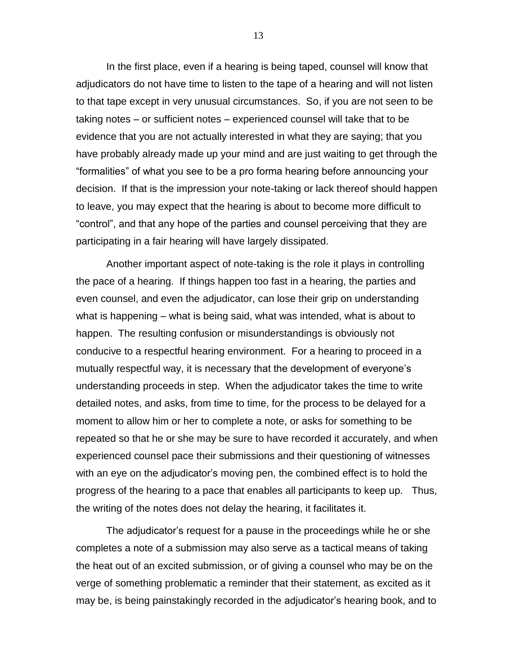In the first place, even if a hearing is being taped, counsel will know that adjudicators do not have time to listen to the tape of a hearing and will not listen to that tape except in very unusual circumstances. So, if you are not seen to be taking notes – or sufficient notes – experienced counsel will take that to be evidence that you are not actually interested in what they are saying; that you have probably already made up your mind and are just waiting to get through the "formalities" of what you see to be a pro forma hearing before announcing your decision. If that is the impression your note-taking or lack thereof should happen to leave, you may expect that the hearing is about to become more difficult to "control", and that any hope of the parties and counsel perceiving that they are participating in a fair hearing will have largely dissipated.

Another important aspect of note-taking is the role it plays in controlling the pace of a hearing. If things happen too fast in a hearing, the parties and even counsel, and even the adjudicator, can lose their grip on understanding what is happening – what is being said, what was intended, what is about to happen. The resulting confusion or misunderstandings is obviously not conducive to a respectful hearing environment. For a hearing to proceed in a mutually respectful way, it is necessary that the development of everyone's understanding proceeds in step. When the adjudicator takes the time to write detailed notes, and asks, from time to time, for the process to be delayed for a moment to allow him or her to complete a note, or asks for something to be repeated so that he or she may be sure to have recorded it accurately, and when experienced counsel pace their submissions and their questioning of witnesses with an eye on the adjudicator's moving pen, the combined effect is to hold the progress of the hearing to a pace that enables all participants to keep up. Thus, the writing of the notes does not delay the hearing, it facilitates it.

The adjudicator's request for a pause in the proceedings while he or she completes a note of a submission may also serve as a tactical means of taking the heat out of an excited submission, or of giving a counsel who may be on the verge of something problematic a reminder that their statement, as excited as it may be, is being painstakingly recorded in the adjudicator's hearing book, and to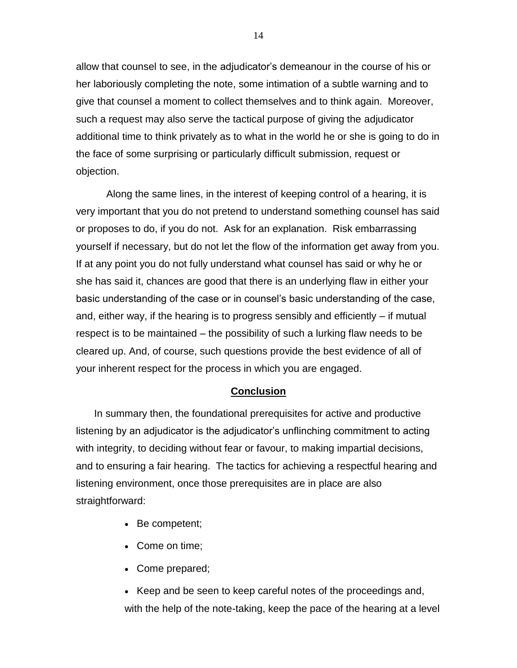allow that counsel to see, in the adjudicator's demeanour in the course of his or her laboriously completing the note, some intimation of a subtle warning and to give that counsel a moment to collect themselves and to think again. Moreover, such a request may also serve the tactical purpose of giving the adjudicator additional time to think privately as to what in the world he or she is going to do in the face of some surprising or particularly difficult submission, request or objection.

Along the same lines, in the interest of keeping control of a hearing, it is very important that you do not pretend to understand something counsel has said or proposes to do, if you do not. Ask for an explanation. Risk embarrassing yourself if necessary, but do not let the flow of the information get away from you. If at any point you do not fully understand what counsel has said or why he or she has said it, chances are good that there is an underlying flaw in either your basic understanding of the case or in counsel's basic understanding of the case, and, either way, if the hearing is to progress sensibly and efficiently – if mutual respect is to be maintained – the possibility of such a lurking flaw needs to be cleared up. And, of course, such questions provide the best evidence of all of your inherent respect for the process in which you are engaged.

# **Conclusion**

In summary then, the foundational prerequisites for active and productive listening by an adjudicator is the adjudicator's unflinching commitment to acting with integrity, to deciding without fear or favour, to making impartial decisions, and to ensuring a fair hearing. The tactics for achieving a respectful hearing and listening environment, once those prerequisites are in place are also straightforward:

- Be competent;
- Come on time;
- Come prepared;

• Keep and be seen to keep careful notes of the proceedings and, with the help of the note-taking, keep the pace of the hearing at a level